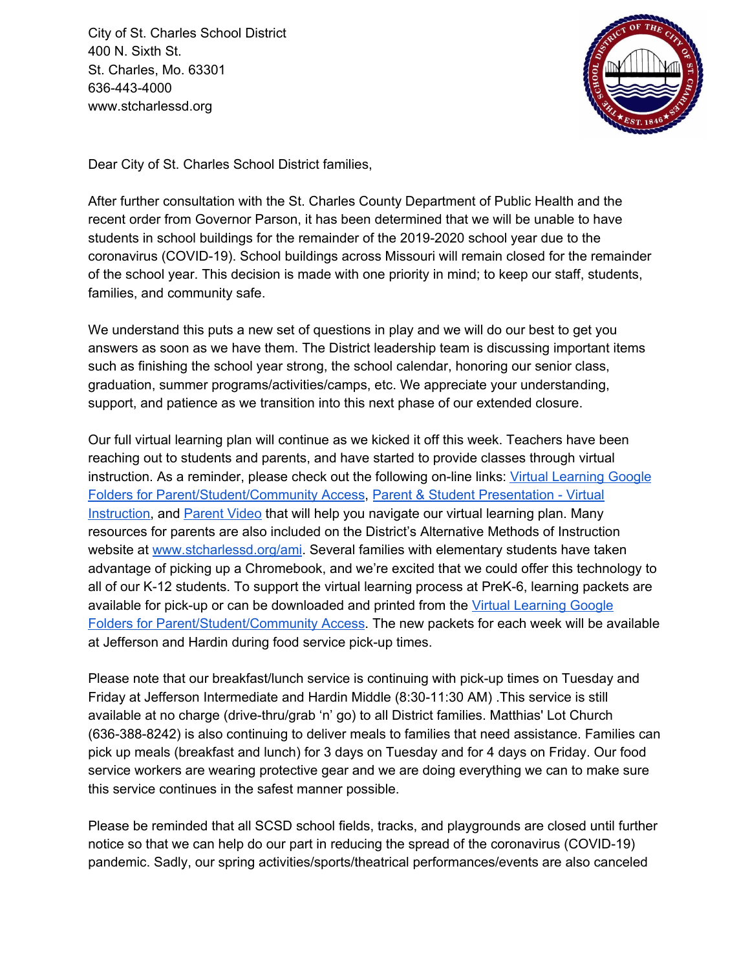City of St. Charles School District 400 N. Sixth St. St. Charles, Mo. 63301 636-443-4000 www.stcharlessd.org



Dear City of St. Charles School District families,

After further consultation with the St. Charles County Department of Public Health and the recent order from Governor Parson, it has been determined that we will be unable to have students in school buildings for the remainder of the 2019-2020 school year due to the coronavirus (COVID-19). School buildings across Missouri will remain closed for the remainder of the school year. This decision is made with one priority in mind; to keep our staff, students, families, and community safe.

We understand this puts a new set of questions in play and we will do our best to get you answers as soon as we have them. The District leadership team is discussing important items such as finishing the school year strong, the school calendar, honoring our senior class, graduation, summer programs/activities/camps, etc. We appreciate your understanding, support, and patience as we transition into this next phase of our extended closure.

Our full virtual learning plan will continue as we kicked it off this week. Teachers have been reaching out to students and parents, and have started to provide classes through virtual instruction. As a reminder, please check out the following on-line links: Virtual [Learning](https://drive.google.com/drive/folders/1blB03mxazoNH46qYVH-eorRyE9Wna00H) Google Folders for [Parent/Student/Community](https://drive.google.com/drive/folders/1blB03mxazoNH46qYVH-eorRyE9Wna00H) Access, Parent & Student [Presentation](https://docs.google.com/presentation/d/1sn7SOiU9o1zNZ8Si7Ddt7gr4oVykZeXVrs5tTPPwYS4/edit#slide=id.g828a10f8e4_0_136) - Virtual [Instruction,](https://docs.google.com/presentation/d/1sn7SOiU9o1zNZ8Si7Ddt7gr4oVykZeXVrs5tTPPwYS4/edit#slide=id.g828a10f8e4_0_136) and [Parent](https://www.youtube.com/watch?v=gggn3Jmsyq0&feature=youtu.be&fbclid=IwAR35mio0IFyHZVkkyDKk35uecmHmbQsx6frZ3mdRFXS6BjOO_yosKIcs1Nk) Video that will help you navigate our virtual learning plan. Many resources for parents are also included on the District's Alternative Methods of Instruction website at [www.stcharlessd.org/ami.](http://www.stcharlessd.org/ami) Several families with elementary students have taken advantage of picking up a Chromebook, and we're excited that we could offer this technology to all of our K-12 students. To support the virtual learning process at PreK-6, learning packets are available for pick-up or can be downloaded and printed from the Virtual [Learning](https://drive.google.com/drive/folders/1blB03mxazoNH46qYVH-eorRyE9Wna00H) Google Folders for [Parent/Student/Community](https://drive.google.com/drive/folders/1blB03mxazoNH46qYVH-eorRyE9Wna00H) Access. The new packets for each week will be available at Jefferson and Hardin during food service pick-up times.

Please note that our breakfast/lunch service is continuing with pick-up times on Tuesday and Friday at Jefferson Intermediate and Hardin Middle (8:30-11:30 AM) .This service is still available at no charge (drive-thru/grab 'n' go) to all District families. Matthias' Lot Church (636-388-8242) is also continuing to deliver meals to families that need assistance. Families can pick up meals (breakfast and lunch) for 3 days on Tuesday and for 4 days on Friday. Our food service workers are wearing protective gear and we are doing everything we can to make sure this service continues in the safest manner possible.

Please be reminded that all SCSD school fields, tracks, and playgrounds are closed until further notice so that we can help do our part in reducing the spread of the coronavirus (COVID-19) pandemic. Sadly, our spring activities/sports/theatrical performances/events are also canceled